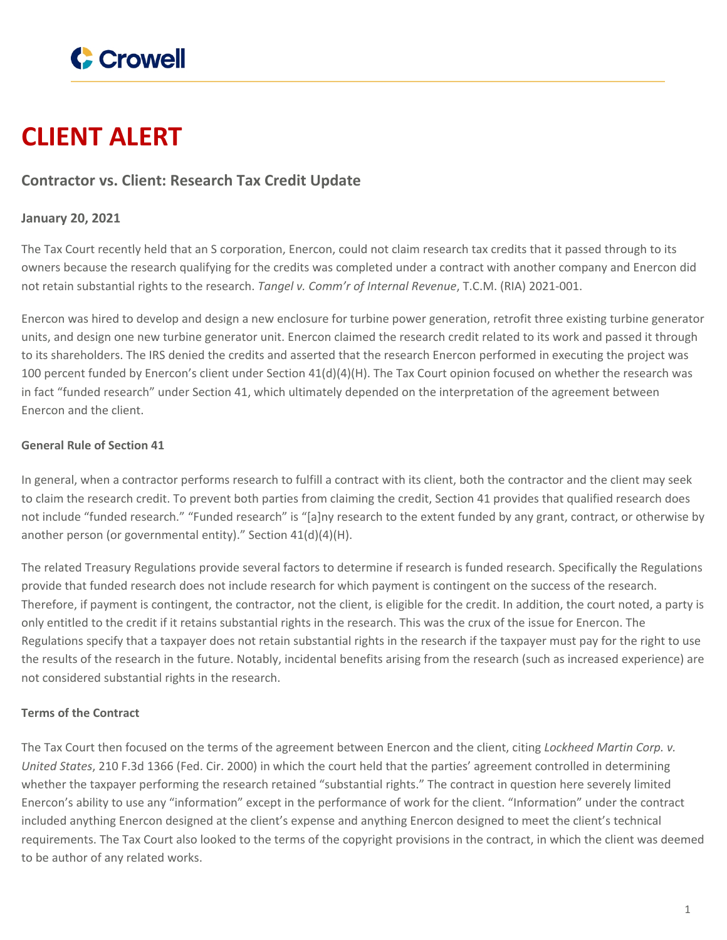

# **CLIENT ALERT**

## **Contractor vs. Client: Research Tax Credit Update**

### **January 20, 2021**

The Tax Court recently held that an S corporation, Enercon, could not claim research tax credits that it passed through to its owners because the research qualifying for the credits was completed under a contract with another company and Enercon did not retain substantial rights to the research. *Tangel v. Comm'r of Internal Revenue*, T.C.M. (RIA) 2021-001.

Enercon was hired to develop and design a new enclosure for turbine power generation, retrofit three existing turbine generator units, and design one new turbine generator unit. Enercon claimed the research credit related to its work and passed it through to its shareholders. The IRS denied the credits and asserted that the research Enercon performed in executing the project was 100 percent funded by Enercon's client under Section 41(d)(4)(H). The Tax Court opinion focused on whether the research was in fact "funded research" under Section 41, which ultimately depended on the interpretation of the agreement between Enercon and the client.

#### **General Rule of Section 41**

In general, when a contractor performs research to fulfill a contract with its client, both the contractor and the client may seek to claim the research credit. To prevent both parties from claiming the credit, Section 41 provides that qualified research does not include "funded research." "Funded research" is "[a]ny research to the extent funded by any grant, contract, or otherwise by another person (or governmental entity)." Section 41(d)(4)(H).

The related Treasury Regulations provide several factors to determine if research is funded research. Specifically the Regulations provide that funded research does not include research for which payment is contingent on the success of the research. Therefore, if payment is contingent, the contractor, not the client, is eligible for the credit. In addition, the court noted, a party is only entitled to the credit if it retains substantial rights in the research. This was the crux of the issue for Enercon. The Regulations specify that a taxpayer does not retain substantial rights in the research if the taxpayer must pay for the right to use the results of the research in the future. Notably, incidental benefits arising from the research (such as increased experience) are not considered substantial rights in the research.

#### **Terms of the Contract**

The Tax Court then focused on the terms of the agreement between Enercon and the client, citing *Lockheed Martin Corp. v. United States*, 210 F.3d 1366 (Fed. Cir. 2000) in which the court held that the parties' agreement controlled in determining whether the taxpayer performing the research retained "substantial rights." The contract in question here severely limited Enercon's ability to use any "information" except in the performance of work for the client. "Information" under the contract included anything Enercon designed at the client's expense and anything Enercon designed to meet the client's technical requirements. The Tax Court also looked to the terms of the copyright provisions in the contract, in which the client was deemed to be author of any related works.